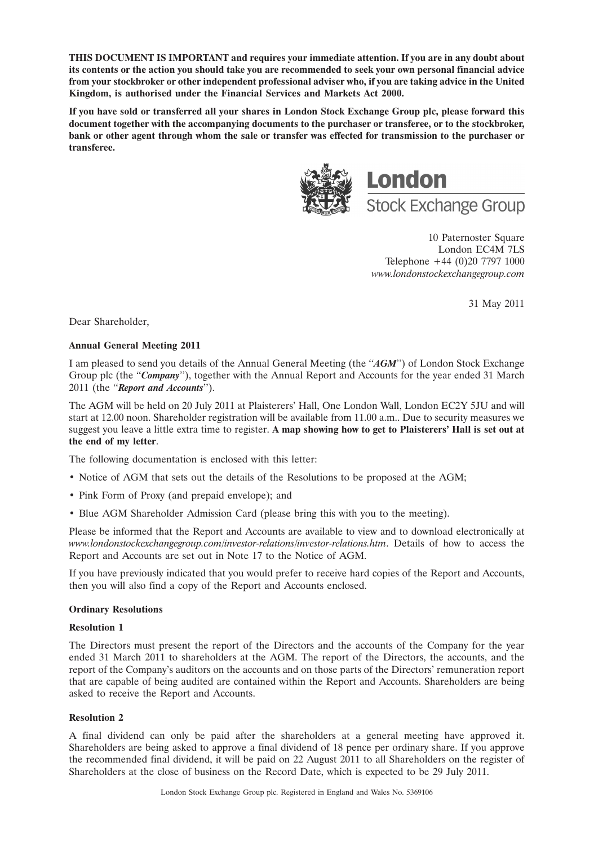**THIS DOCUMENT IS IMPORTANT and requires your immediate attention. If you are in any doubt about its contents or the action you should take you are recommended to seek your own personal financial advice from your stockbroker or other independent professional adviser who, if you are taking advice in the United Kingdom, is authorised under the Financial Services and Markets Act 2000.**

**If you have sold or transferred all your shares in London Stock Exchange Group plc, please forward this document together with the accompanying documents to the purchaser or transferee, or to the stockbroker, bank or other agent through whom the sale or transfer was effected for transmission to the purchaser or transferee.**





10 Paternoster Square London EC4M 7LS Telephone +44 (0)20 7797 1000 *www.londonstockexchangegroup.com*

31 May 2011

2JUN200910091746

Dear Shareholder,

# **Annual General Meeting 2011**

I am pleased to send you details of the Annual General Meeting (the ''*AGM*'') of London Stock Exchange Group plc (the "*Company*"), together with the Annual Report and Accounts for the year ended 31 March 2011 (the ''*Report and Accounts*'').

The AGM will be held on 20 July 2011 at Plaisterers' Hall, One London Wall, London EC2Y 5JU and will start at 12.00 noon. Shareholder registration will be available from 11.00 a.m.. Due to security measures we suggest you leave a little extra time to register. **A map showing how to get to Plaisterers' Hall is set out at the end of my letter**.

The following documentation is enclosed with this letter:

- Notice of AGM that sets out the details of the Resolutions to be proposed at the AGM;
- Pink Form of Proxy (and prepaid envelope); and
- Blue AGM Shareholder Admission Card (please bring this with you to the meeting).

Please be informed that the Report and Accounts are available to view and to download electronically at *www.londonstockexchangegroup.com/investor-relations/investor-relations.htm*. Details of how to access the Report and Accounts are set out in Note 17 to the Notice of AGM.

If you have previously indicated that you would prefer to receive hard copies of the Report and Accounts, then you will also find a copy of the Report and Accounts enclosed.

### **Ordinary Resolutions**

### **Resolution 1**

The Directors must present the report of the Directors and the accounts of the Company for the year ended 31 March 2011 to shareholders at the AGM. The report of the Directors, the accounts, and the report of the Company's auditors on the accounts and on those parts of the Directors' remuneration report that are capable of being audited are contained within the Report and Accounts. Shareholders are being asked to receive the Report and Accounts.

### **Resolution 2**

A final dividend can only be paid after the shareholders at a general meeting have approved it. Shareholders are being asked to approve a final dividend of 18 pence per ordinary share. If you approve the recommended final dividend, it will be paid on 22 August 2011 to all Shareholders on the register of Shareholders at the close of business on the Record Date, which is expected to be 29 July 2011.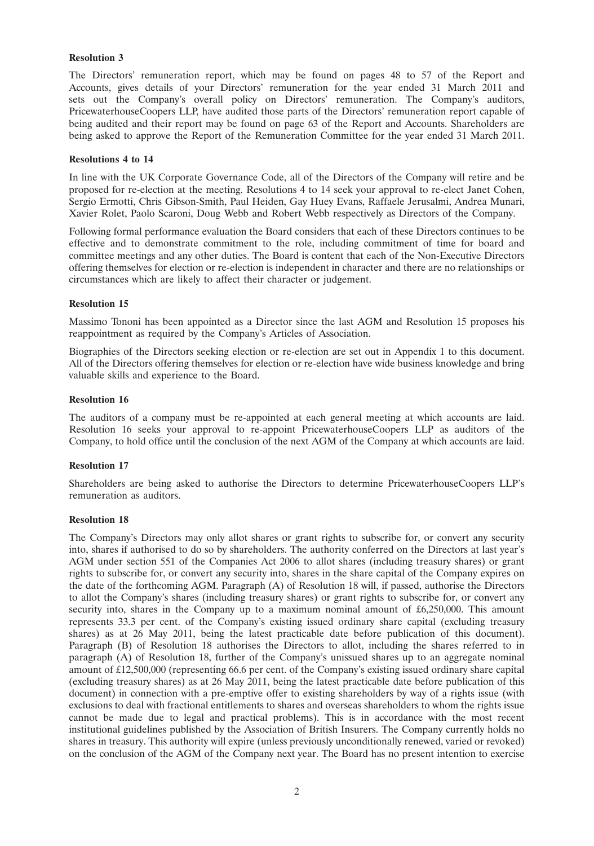### **Resolution 3**

The Directors' remuneration report, which may be found on pages 48 to 57 of the Report and Accounts, gives details of your Directors' remuneration for the year ended 31 March 2011 and sets out the Company's overall policy on Directors' remuneration. The Company's auditors, PricewaterhouseCoopers LLP, have audited those parts of the Directors' remuneration report capable of being audited and their report may be found on page 63 of the Report and Accounts. Shareholders are being asked to approve the Report of the Remuneration Committee for the year ended 31 March 2011.

### **Resolutions 4 to 14**

In line with the UK Corporate Governance Code, all of the Directors of the Company will retire and be proposed for re-election at the meeting. Resolutions 4 to 14 seek your approval to re-elect Janet Cohen, Sergio Ermotti, Chris Gibson-Smith, Paul Heiden, Gay Huey Evans, Raffaele Jerusalmi, Andrea Munari, Xavier Rolet, Paolo Scaroni, Doug Webb and Robert Webb respectively as Directors of the Company.

Following formal performance evaluation the Board considers that each of these Directors continues to be effective and to demonstrate commitment to the role, including commitment of time for board and committee meetings and any other duties. The Board is content that each of the Non-Executive Directors offering themselves for election or re-election is independent in character and there are no relationships or circumstances which are likely to affect their character or judgement.

#### **Resolution 15**

Massimo Tononi has been appointed as a Director since the last AGM and Resolution 15 proposes his reappointment as required by the Company's Articles of Association.

Biographies of the Directors seeking election or re-election are set out in Appendix 1 to this document. All of the Directors offering themselves for election or re-election have wide business knowledge and bring valuable skills and experience to the Board.

#### **Resolution 16**

The auditors of a company must be re-appointed at each general meeting at which accounts are laid. Resolution 16 seeks your approval to re-appoint PricewaterhouseCoopers LLP as auditors of the Company, to hold office until the conclusion of the next AGM of the Company at which accounts are laid.

### **Resolution 17**

Shareholders are being asked to authorise the Directors to determine PricewaterhouseCoopers LLP's remuneration as auditors.

### **Resolution 18**

The Company's Directors may only allot shares or grant rights to subscribe for, or convert any security into, shares if authorised to do so by shareholders. The authority conferred on the Directors at last year's AGM under section 551 of the Companies Act 2006 to allot shares (including treasury shares) or grant rights to subscribe for, or convert any security into, shares in the share capital of the Company expires on the date of the forthcoming AGM. Paragraph (A) of Resolution 18 will, if passed, authorise the Directors to allot the Company's shares (including treasury shares) or grant rights to subscribe for, or convert any security into, shares in the Company up to a maximum nominal amount of  $£6,250,000$ . This amount represents 33.3 per cent. of the Company's existing issued ordinary share capital (excluding treasury shares) as at 26 May 2011, being the latest practicable date before publication of this document). Paragraph (B) of Resolution 18 authorises the Directors to allot, including the shares referred to in paragraph (A) of Resolution 18, further of the Company's unissued shares up to an aggregate nominal amount of £12,500,000 (representing 66.6 per cent. of the Company's existing issued ordinary share capital (excluding treasury shares) as at 26 May 2011, being the latest practicable date before publication of this document) in connection with a pre-emptive offer to existing shareholders by way of a rights issue (with exclusions to deal with fractional entitlements to shares and overseas shareholders to whom the rights issue cannot be made due to legal and practical problems). This is in accordance with the most recent institutional guidelines published by the Association of British Insurers. The Company currently holds no shares in treasury. This authority will expire (unless previously unconditionally renewed, varied or revoked) on the conclusion of the AGM of the Company next year. The Board has no present intention to exercise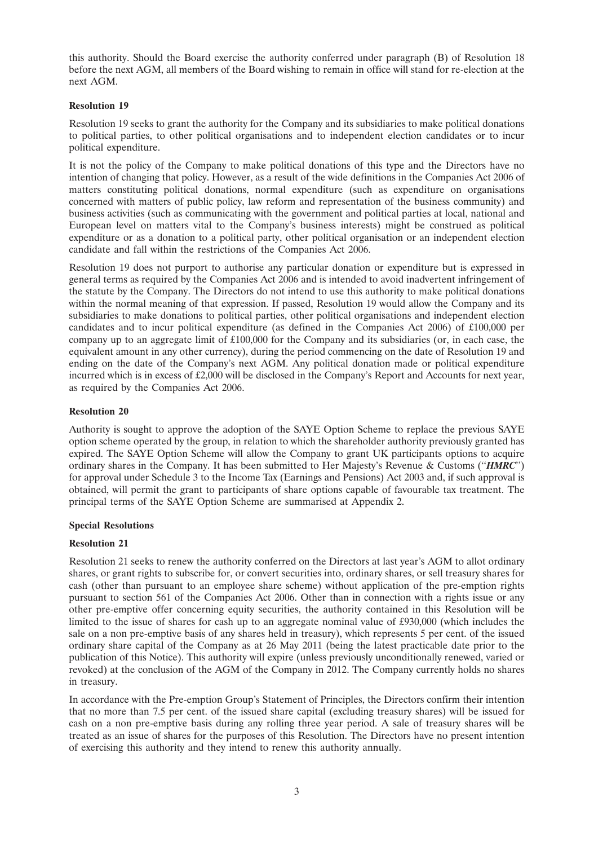this authority. Should the Board exercise the authority conferred under paragraph (B) of Resolution 18 before the next AGM, all members of the Board wishing to remain in office will stand for re-election at the next AGM.

# **Resolution 19**

Resolution 19 seeks to grant the authority for the Company and its subsidiaries to make political donations to political parties, to other political organisations and to independent election candidates or to incur political expenditure.

It is not the policy of the Company to make political donations of this type and the Directors have no intention of changing that policy. However, as a result of the wide definitions in the Companies Act 2006 of matters constituting political donations, normal expenditure (such as expenditure on organisations concerned with matters of public policy, law reform and representation of the business community) and business activities (such as communicating with the government and political parties at local, national and European level on matters vital to the Company's business interests) might be construed as political expenditure or as a donation to a political party, other political organisation or an independent election candidate and fall within the restrictions of the Companies Act 2006.

Resolution 19 does not purport to authorise any particular donation or expenditure but is expressed in general terms as required by the Companies Act 2006 and is intended to avoid inadvertent infringement of the statute by the Company. The Directors do not intend to use this authority to make political donations within the normal meaning of that expression. If passed, Resolution 19 would allow the Company and its subsidiaries to make donations to political parties, other political organisations and independent election candidates and to incur political expenditure (as defined in the Companies Act 2006) of £100,000 per company up to an aggregate limit of £100,000 for the Company and its subsidiaries (or, in each case, the equivalent amount in any other currency), during the period commencing on the date of Resolution 19 and ending on the date of the Company's next AGM. Any political donation made or political expenditure incurred which is in excess of £2,000 will be disclosed in the Company's Report and Accounts for next year, as required by the Companies Act 2006.

# **Resolution 20**

Authority is sought to approve the adoption of the SAYE Option Scheme to replace the previous SAYE option scheme operated by the group, in relation to which the shareholder authority previously granted has expired. The SAYE Option Scheme will allow the Company to grant UK participants options to acquire ordinary shares in the Company. It has been submitted to Her Majesty's Revenue & Customs (''*HMRC*'') for approval under Schedule 3 to the Income Tax (Earnings and Pensions) Act 2003 and, if such approval is obtained, will permit the grant to participants of share options capable of favourable tax treatment. The principal terms of the SAYE Option Scheme are summarised at Appendix 2.

### **Special Resolutions**

# **Resolution 21**

Resolution 21 seeks to renew the authority conferred on the Directors at last year's AGM to allot ordinary shares, or grant rights to subscribe for, or convert securities into, ordinary shares, or sell treasury shares for cash (other than pursuant to an employee share scheme) without application of the pre-emption rights pursuant to section 561 of the Companies Act 2006. Other than in connection with a rights issue or any other pre-emptive offer concerning equity securities, the authority contained in this Resolution will be limited to the issue of shares for cash up to an aggregate nominal value of £930,000 (which includes the sale on a non pre-emptive basis of any shares held in treasury), which represents 5 per cent. of the issued ordinary share capital of the Company as at 26 May 2011 (being the latest practicable date prior to the publication of this Notice). This authority will expire (unless previously unconditionally renewed, varied or revoked) at the conclusion of the AGM of the Company in 2012. The Company currently holds no shares in treasury.

In accordance with the Pre-emption Group's Statement of Principles, the Directors confirm their intention that no more than 7.5 per cent. of the issued share capital (excluding treasury shares) will be issued for cash on a non pre-emptive basis during any rolling three year period. A sale of treasury shares will be treated as an issue of shares for the purposes of this Resolution. The Directors have no present intention of exercising this authority and they intend to renew this authority annually.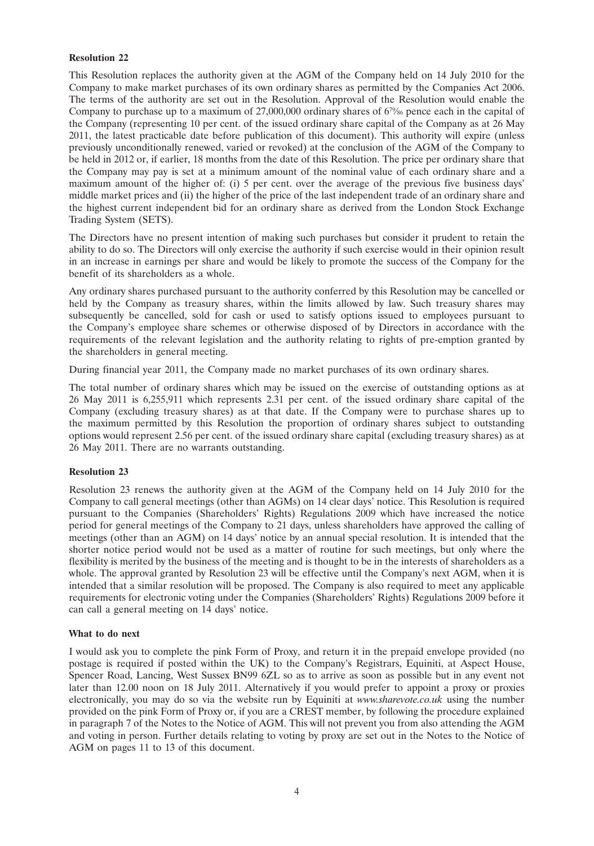### **Resolution 22**

This Resolution replaces the authority given at the AGM of the Company held on 14 July 2010 for the Company to make market purchases of its own ordinary shares as permitted by the Companies Act 2006. The terms of the authority are set out in the Resolution. Approval of the Resolution would enable the Company to purchase up to a maximum of 27,000,000 ordinary shares of 6<sup>79</sup>/<sub>86</sub> pence each in the capital of the Company (representing 10 per cent. of the issued ordinary share capital of the Company as at 26 May 2011, the latest practicable date before publication of this document). This authority will expire (unless previously unconditionally renewed, varied or revoked) at the conclusion of the AGM of the Company to be held in 2012 or, if earlier, 18 months from the date of this Resolution. The price per ordinary share that the Company may pay is set at a minimum amount of the nominal value of each ordinary share and a maximum amount of the higher of: (i) 5 per cent. over the average of the previous five business days' middle market prices and (ii) the higher of the price of the last independent trade of an ordinary share and the highest current independent bid for an ordinary share as derived from the London Stock Exchange Trading System (SETS).

The Directors have no present intention of making such purchases but consider it prudent to retain the ability to do so. The Directors will only exercise the authority if such exercise would in their opinion result in an increase in earnings per share and would be likely to promote the success of the Company for the benefit of its shareholders as a whole.

Any ordinary shares purchased pursuant to the authority conferred by this Resolution may be cancelled or held by the Company as treasury shares, within the limits allowed by law. Such treasury shares may subsequently be cancelled, sold for cash or used to satisfy options issued to employees pursuant to the Company's employee share schemes or otherwise disposed of by Directors in accordance with the requirements of the relevant legislation and the authority relating to rights of pre-emption granted by the shareholders in general meeting.

During financial year 2011, the Company made no market purchases of its own ordinary shares.

The total number of ordinary shares which may be issued on the exercise of outstanding options as at 26 May 2011 is 6,255,911 which represents 2.31 per cent. of the issued ordinary share capital of the Company (excluding treasury shares) as at that date. If the Company were to purchase shares up to the maximum permitted by this Resolution the proportion of ordinary shares subject to outstanding options would represent 2.56 per cent. of the issued ordinary share capital (excluding treasury shares) as at 26 May 2011. There are no warrants outstanding.

#### **Resolution 23**

Resolution 23 renews the authority given at the AGM of the Company held on 14 July 2010 for the Company to call general meetings (other than AGMs) on 14 clear days' notice. This Resolution is required pursuant to the Companies (Shareholders' Rights) Regulations 2009 which have increased the notice period for general meetings of the Company to 21 days, unless shareholders have approved the calling of meetings (other than an AGM) on 14 days' notice by an annual special resolution. It is intended that the shorter notice period would not be used as a matter of routine for such meetings, but only where the flexibility is merited by the business of the meeting and is thought to be in the interests of shareholders as a whole. The approval granted by Resolution 23 will be effective until the Company's next AGM, when it is intended that a similar resolution will be proposed. The Company is also required to meet any applicable requirements for electronic voting under the Companies (Shareholders' Rights) Regulations 2009 before it can call a general meeting on 14 days' notice.

#### **What to do next**

I would ask you to complete the pink Form of Proxy, and return it in the prepaid envelope provided (no postage is required if posted within the UK) to the Company's Registrars, Equiniti, at Aspect House, Spencer Road, Lancing, West Sussex BN99 6ZL so as to arrive as soon as possible but in any event not later than 12.00 noon on 18 July 2011. Alternatively if you would prefer to appoint a proxy or proxies electronically, you may do so via the website run by Equiniti at *www.sharevote.co.uk* using the number provided on the pink Form of Proxy or, if you are a CREST member, by following the procedure explained in paragraph 7 of the Notes to the Notice of AGM. This will not prevent you from also attending the AGM and voting in person. Further details relating to voting by proxy are set out in the Notes to the Notice of AGM on pages 11 to 13 of this document.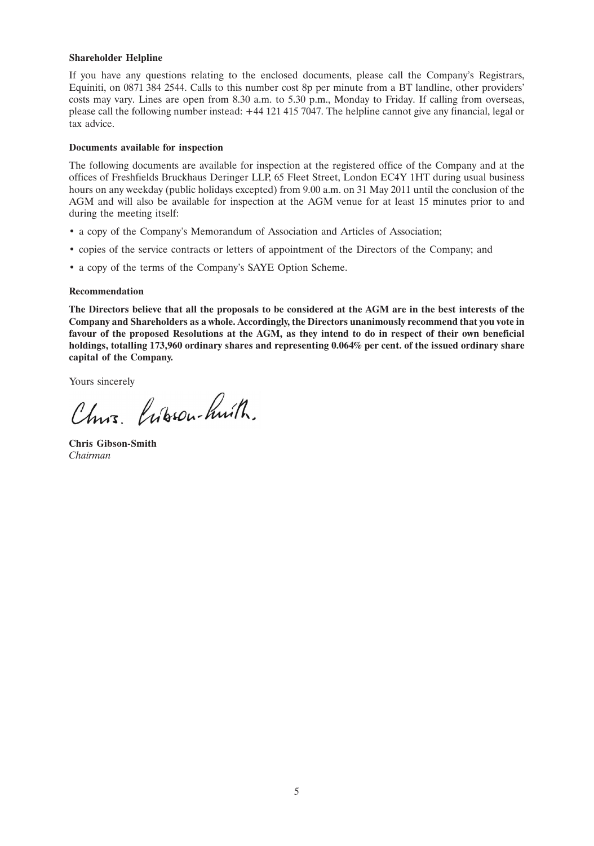### **Shareholder Helpline**

If you have any questions relating to the enclosed documents, please call the Company's Registrars, Equiniti, on 0871 384 2544. Calls to this number cost 8p per minute from a BT landline, other providers' costs may vary. Lines are open from 8.30 a.m. to 5.30 p.m., Monday to Friday. If calling from overseas, please call the following number instead: +44 121 415 7047. The helpline cannot give any financial, legal or tax advice.

### **Documents available for inspection**

The following documents are available for inspection at the registered office of the Company and at the offices of Freshfields Bruckhaus Deringer LLP, 65 Fleet Street, London EC4Y 1HT during usual business hours on any weekday (public holidays excepted) from 9.00 a.m. on 31 May 2011 until the conclusion of the AGM and will also be available for inspection at the AGM venue for at least 15 minutes prior to and during the meeting itself:

- a copy of the Company's Memorandum of Association and Articles of Association;
- copies of the service contracts or letters of appointment of the Directors of the Company; and
- a copy of the terms of the Company's SAYE Option Scheme.

#### **Recommendation**

**The Directors believe that all the proposals to be considered at the AGM are in the best interests of the Company and Shareholders as a whole. Accordingly, the Directors unanimously recommend that you vote in favour of the proposed Resolutions at the AGM, as they intend to do in respect of their own beneficial holdings, totalling 173,960 ordinary shares and representing 0.064% per cent. of the issued ordinary share capital of the Company.**

Yours sincerely

Chus. Cubson-huith.

**Chris Gibson-Smith** *Chairman*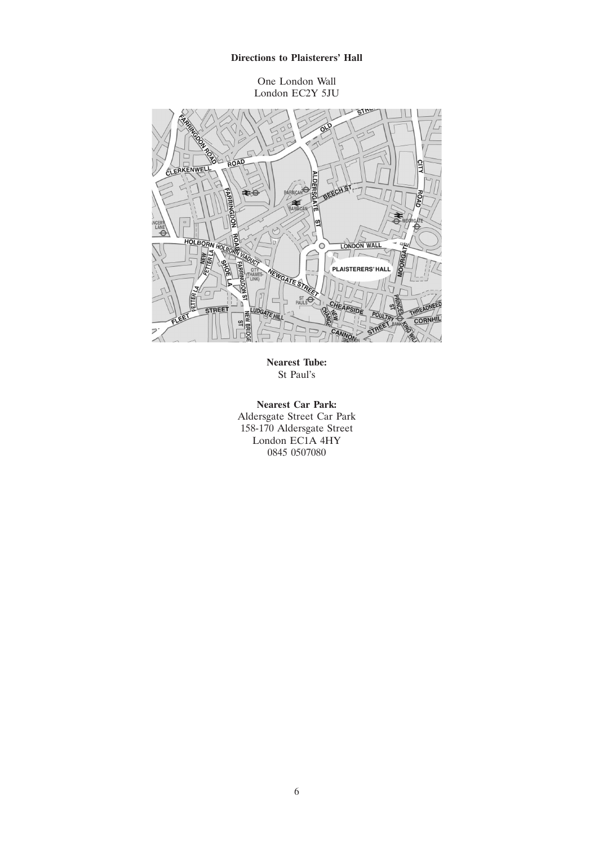# **Directions to Plaisterers' Hall**

One London Wall London EC2Y 5JU



**Nearest Tube:** St Paul's

**Nearest Car Park:** Aldersgate Street Car Park 158-170 Aldersgate Street London EC1A 4HY 0845 0507080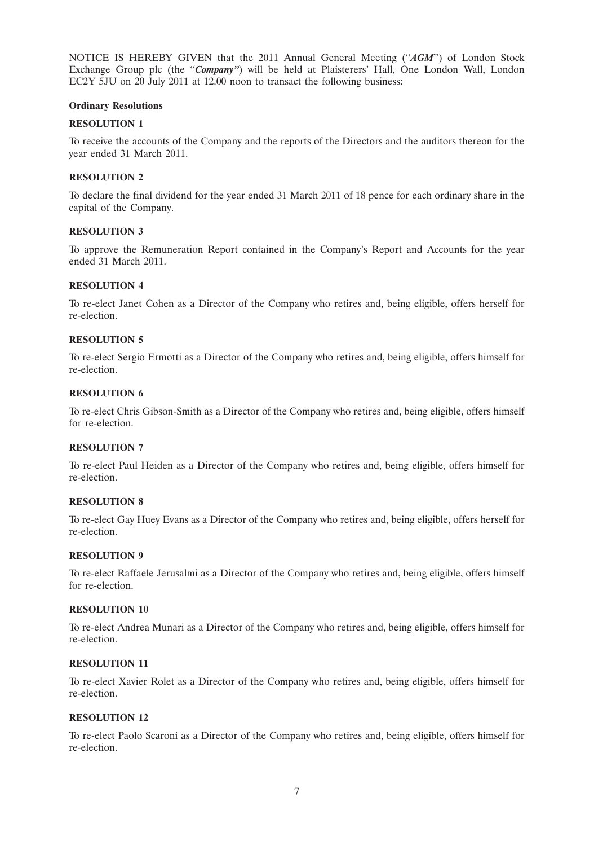NOTICE IS HEREBY GIVEN that the 2011 Annual General Meeting (''*AGM*'') of London Stock Exchange Group plc (the ''*Company''*) will be held at Plaisterers' Hall, One London Wall, London EC2Y 5JU on 20 July 2011 at 12.00 noon to transact the following business:

### **Ordinary Resolutions**

### **RESOLUTION 1**

To receive the accounts of the Company and the reports of the Directors and the auditors thereon for the year ended 31 March 2011.

### **RESOLUTION 2**

To declare the final dividend for the year ended 31 March 2011 of 18 pence for each ordinary share in the capital of the Company.

#### **RESOLUTION 3**

To approve the Remuneration Report contained in the Company's Report and Accounts for the year ended 31 March 2011.

#### **RESOLUTION 4**

To re-elect Janet Cohen as a Director of the Company who retires and, being eligible, offers herself for re-election.

#### **RESOLUTION 5**

To re-elect Sergio Ermotti as a Director of the Company who retires and, being eligible, offers himself for re-election.

# **RESOLUTION 6**

To re-elect Chris Gibson-Smith as a Director of the Company who retires and, being eligible, offers himself for re-election.

#### **RESOLUTION 7**

To re-elect Paul Heiden as a Director of the Company who retires and, being eligible, offers himself for re-election.

### **RESOLUTION 8**

To re-elect Gay Huey Evans as a Director of the Company who retires and, being eligible, offers herself for re-election.

### **RESOLUTION 9**

To re-elect Raffaele Jerusalmi as a Director of the Company who retires and, being eligible, offers himself for re-election

### **RESOLUTION 10**

To re-elect Andrea Munari as a Director of the Company who retires and, being eligible, offers himself for re-election.

# **RESOLUTION 11**

To re-elect Xavier Rolet as a Director of the Company who retires and, being eligible, offers himself for re-election.

### **RESOLUTION 12**

To re-elect Paolo Scaroni as a Director of the Company who retires and, being eligible, offers himself for re-election.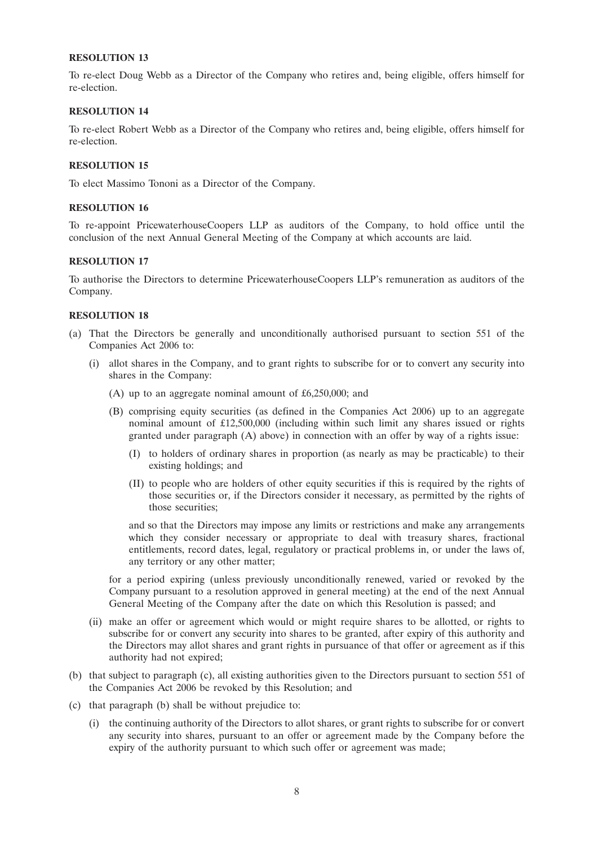### **RESOLUTION 13**

To re-elect Doug Webb as a Director of the Company who retires and, being eligible, offers himself for re-election.

# **RESOLUTION 14**

To re-elect Robert Webb as a Director of the Company who retires and, being eligible, offers himself for re-election.

#### **RESOLUTION 15**

To elect Massimo Tononi as a Director of the Company.

### **RESOLUTION 16**

To re-appoint PricewaterhouseCoopers LLP as auditors of the Company, to hold office until the conclusion of the next Annual General Meeting of the Company at which accounts are laid.

#### **RESOLUTION 17**

To authorise the Directors to determine PricewaterhouseCoopers LLP's remuneration as auditors of the Company.

### **RESOLUTION 18**

- (a) That the Directors be generally and unconditionally authorised pursuant to section 551 of the Companies Act 2006 to:
	- (i) allot shares in the Company, and to grant rights to subscribe for or to convert any security into shares in the Company:
		- (A) up to an aggregate nominal amount of £6,250,000; and
		- (B) comprising equity securities (as defined in the Companies Act 2006) up to an aggregate nominal amount of £12,500,000 (including within such limit any shares issued or rights granted under paragraph (A) above) in connection with an offer by way of a rights issue:
			- (I) to holders of ordinary shares in proportion (as nearly as may be practicable) to their existing holdings; and
			- (II) to people who are holders of other equity securities if this is required by the rights of those securities or, if the Directors consider it necessary, as permitted by the rights of those securities;

and so that the Directors may impose any limits or restrictions and make any arrangements which they consider necessary or appropriate to deal with treasury shares, fractional entitlements, record dates, legal, regulatory or practical problems in, or under the laws of, any territory or any other matter;

for a period expiring (unless previously unconditionally renewed, varied or revoked by the Company pursuant to a resolution approved in general meeting) at the end of the next Annual General Meeting of the Company after the date on which this Resolution is passed; and

- (ii) make an offer or agreement which would or might require shares to be allotted, or rights to subscribe for or convert any security into shares to be granted, after expiry of this authority and the Directors may allot shares and grant rights in pursuance of that offer or agreement as if this authority had not expired;
- (b) that subject to paragraph (c), all existing authorities given to the Directors pursuant to section 551 of the Companies Act 2006 be revoked by this Resolution; and
- (c) that paragraph (b) shall be without prejudice to:
	- (i) the continuing authority of the Directors to allot shares, or grant rights to subscribe for or convert any security into shares, pursuant to an offer or agreement made by the Company before the expiry of the authority pursuant to which such offer or agreement was made;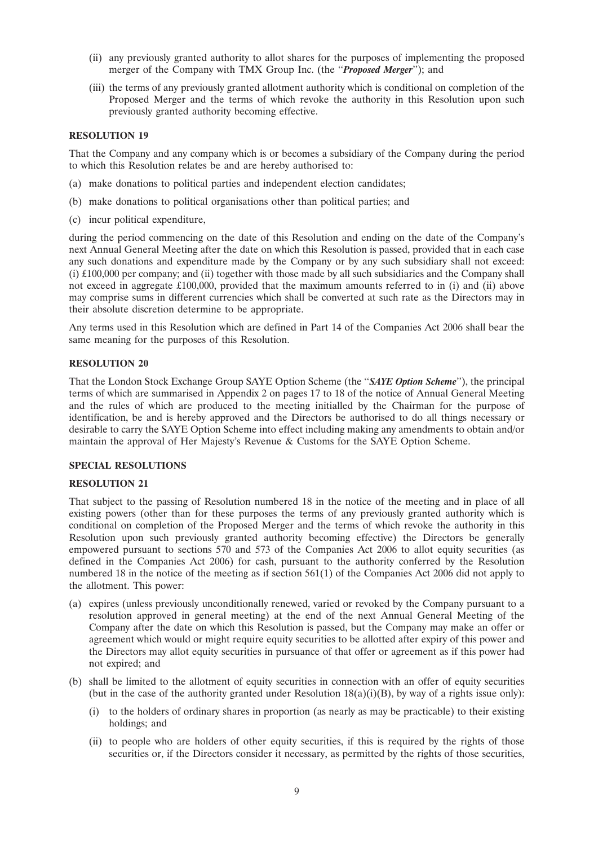- (ii) any previously granted authority to allot shares for the purposes of implementing the proposed merger of the Company with TMX Group Inc. (the ''*Proposed Merger*''); and
- (iii) the terms of any previously granted allotment authority which is conditional on completion of the Proposed Merger and the terms of which revoke the authority in this Resolution upon such previously granted authority becoming effective.

#### **RESOLUTION 19**

That the Company and any company which is or becomes a subsidiary of the Company during the period to which this Resolution relates be and are hereby authorised to:

- (a) make donations to political parties and independent election candidates;
- (b) make donations to political organisations other than political parties; and
- (c) incur political expenditure,

during the period commencing on the date of this Resolution and ending on the date of the Company's next Annual General Meeting after the date on which this Resolution is passed, provided that in each case any such donations and expenditure made by the Company or by any such subsidiary shall not exceed: (i) £100,000 per company; and (ii) together with those made by all such subsidiaries and the Company shall not exceed in aggregate £100,000, provided that the maximum amounts referred to in (i) and (ii) above may comprise sums in different currencies which shall be converted at such rate as the Directors may in their absolute discretion determine to be appropriate.

Any terms used in this Resolution which are defined in Part 14 of the Companies Act 2006 shall bear the same meaning for the purposes of this Resolution.

#### **RESOLUTION 20**

That the London Stock Exchange Group SAYE Option Scheme (the ''*SAYE Option Scheme*''), the principal terms of which are summarised in Appendix 2 on pages 17 to 18 of the notice of Annual General Meeting and the rules of which are produced to the meeting initialled by the Chairman for the purpose of identification, be and is hereby approved and the Directors be authorised to do all things necessary or desirable to carry the SAYE Option Scheme into effect including making any amendments to obtain and/or maintain the approval of Her Majesty's Revenue & Customs for the SAYE Option Scheme.

#### **SPECIAL RESOLUTIONS**

#### **RESOLUTION 21**

That subject to the passing of Resolution numbered 18 in the notice of the meeting and in place of all existing powers (other than for these purposes the terms of any previously granted authority which is conditional on completion of the Proposed Merger and the terms of which revoke the authority in this Resolution upon such previously granted authority becoming effective) the Directors be generally empowered pursuant to sections 570 and 573 of the Companies Act 2006 to allot equity securities (as defined in the Companies Act 2006) for cash, pursuant to the authority conferred by the Resolution numbered 18 in the notice of the meeting as if section 561(1) of the Companies Act 2006 did not apply to the allotment. This power:

- (a) expires (unless previously unconditionally renewed, varied or revoked by the Company pursuant to a resolution approved in general meeting) at the end of the next Annual General Meeting of the Company after the date on which this Resolution is passed, but the Company may make an offer or agreement which would or might require equity securities to be allotted after expiry of this power and the Directors may allot equity securities in pursuance of that offer or agreement as if this power had not expired; and
- (b) shall be limited to the allotment of equity securities in connection with an offer of equity securities (but in the case of the authority granted under Resolution  $18(a)(i)(B)$ , by way of a rights issue only):
	- (i) to the holders of ordinary shares in proportion (as nearly as may be practicable) to their existing holdings; and
	- (ii) to people who are holders of other equity securities, if this is required by the rights of those securities or, if the Directors consider it necessary, as permitted by the rights of those securities,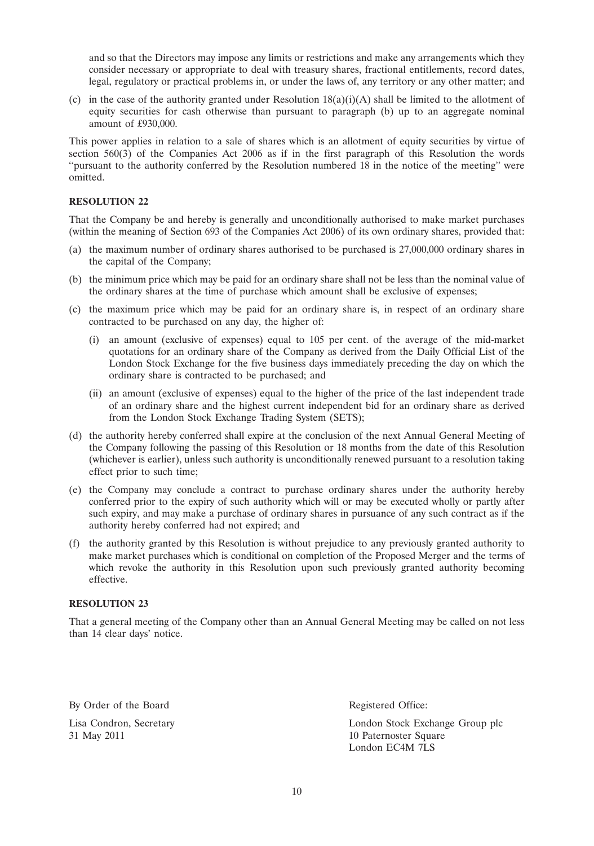and so that the Directors may impose any limits or restrictions and make any arrangements which they consider necessary or appropriate to deal with treasury shares, fractional entitlements, record dates, legal, regulatory or practical problems in, or under the laws of, any territory or any other matter; and

(c) in the case of the authority granted under Resolution 18(a)(i)(A) shall be limited to the allotment of equity securities for cash otherwise than pursuant to paragraph (b) up to an aggregate nominal amount of £930,000.

This power applies in relation to a sale of shares which is an allotment of equity securities by virtue of section 560(3) of the Companies Act 2006 as if in the first paragraph of this Resolution the words ''pursuant to the authority conferred by the Resolution numbered 18 in the notice of the meeting'' were omitted.

### **RESOLUTION 22**

That the Company be and hereby is generally and unconditionally authorised to make market purchases (within the meaning of Section 693 of the Companies Act 2006) of its own ordinary shares, provided that:

- (a) the maximum number of ordinary shares authorised to be purchased is 27,000,000 ordinary shares in the capital of the Company;
- (b) the minimum price which may be paid for an ordinary share shall not be less than the nominal value of the ordinary shares at the time of purchase which amount shall be exclusive of expenses;
- (c) the maximum price which may be paid for an ordinary share is, in respect of an ordinary share contracted to be purchased on any day, the higher of:
	- (i) an amount (exclusive of expenses) equal to 105 per cent. of the average of the mid-market quotations for an ordinary share of the Company as derived from the Daily Official List of the London Stock Exchange for the five business days immediately preceding the day on which the ordinary share is contracted to be purchased; and
	- (ii) an amount (exclusive of expenses) equal to the higher of the price of the last independent trade of an ordinary share and the highest current independent bid for an ordinary share as derived from the London Stock Exchange Trading System (SETS);
- (d) the authority hereby conferred shall expire at the conclusion of the next Annual General Meeting of the Company following the passing of this Resolution or 18 months from the date of this Resolution (whichever is earlier), unless such authority is unconditionally renewed pursuant to a resolution taking effect prior to such time;
- (e) the Company may conclude a contract to purchase ordinary shares under the authority hereby conferred prior to the expiry of such authority which will or may be executed wholly or partly after such expiry, and may make a purchase of ordinary shares in pursuance of any such contract as if the authority hereby conferred had not expired; and
- (f) the authority granted by this Resolution is without prejudice to any previously granted authority to make market purchases which is conditional on completion of the Proposed Merger and the terms of which revoke the authority in this Resolution upon such previously granted authority becoming effective.

### **RESOLUTION 23**

That a general meeting of the Company other than an Annual General Meeting may be called on not less than 14 clear days' notice.

By Order of the Board Registered Office: 31 May 2011 10 Paternoster Square

Lisa Condron, Secretary London Stock Exchange Group plc London EC4M 7LS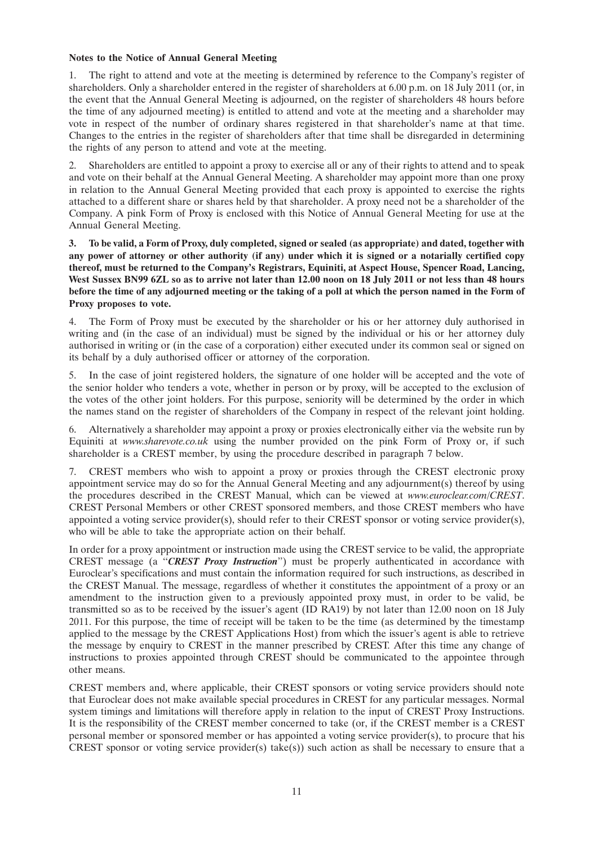# **Notes to the Notice of Annual General Meeting**

1. The right to attend and vote at the meeting is determined by reference to the Company's register of shareholders. Only a shareholder entered in the register of shareholders at 6.00 p.m. on 18 July 2011 (or, in the event that the Annual General Meeting is adjourned, on the register of shareholders 48 hours before the time of any adjourned meeting) is entitled to attend and vote at the meeting and a shareholder may vote in respect of the number of ordinary shares registered in that shareholder's name at that time. Changes to the entries in the register of shareholders after that time shall be disregarded in determining the rights of any person to attend and vote at the meeting.

2. Shareholders are entitled to appoint a proxy to exercise all or any of their rights to attend and to speak and vote on their behalf at the Annual General Meeting. A shareholder may appoint more than one proxy in relation to the Annual General Meeting provided that each proxy is appointed to exercise the rights attached to a different share or shares held by that shareholder. A proxy need not be a shareholder of the Company. A pink Form of Proxy is enclosed with this Notice of Annual General Meeting for use at the Annual General Meeting.

**3. To be valid, a Form of Proxy, duly completed, signed or sealed (as appropriate) and dated, together with any power of attorney or other authority (if any) under which it is signed or a notarially certified copy thereof, must be returned to the Company's Registrars, Equiniti, at Aspect House, Spencer Road, Lancing, West Sussex BN99 6ZL so as to arrive not later than 12.00 noon on 18 July 2011 or not less than 48 hours before the time of any adjourned meeting or the taking of a poll at which the person named in the Form of Proxy proposes to vote.**

4. The Form of Proxy must be executed by the shareholder or his or her attorney duly authorised in writing and (in the case of an individual) must be signed by the individual or his or her attorney duly authorised in writing or (in the case of a corporation) either executed under its common seal or signed on its behalf by a duly authorised officer or attorney of the corporation.

5. In the case of joint registered holders, the signature of one holder will be accepted and the vote of the senior holder who tenders a vote, whether in person or by proxy, will be accepted to the exclusion of the votes of the other joint holders. For this purpose, seniority will be determined by the order in which the names stand on the register of shareholders of the Company in respect of the relevant joint holding.

6. Alternatively a shareholder may appoint a proxy or proxies electronically either via the website run by Equiniti at *www.sharevote.co.uk* using the number provided on the pink Form of Proxy or, if such shareholder is a CREST member, by using the procedure described in paragraph 7 below.

7. CREST members who wish to appoint a proxy or proxies through the CREST electronic proxy appointment service may do so for the Annual General Meeting and any adjournment(s) thereof by using the procedures described in the CREST Manual, which can be viewed at *www.euroclear.com/CREST*. CREST Personal Members or other CREST sponsored members, and those CREST members who have appointed a voting service provider(s), should refer to their CREST sponsor or voting service provider(s), who will be able to take the appropriate action on their behalf.

In order for a proxy appointment or instruction made using the CREST service to be valid, the appropriate CREST message (a ''*CREST Proxy Instruction*'') must be properly authenticated in accordance with Euroclear's specifications and must contain the information required for such instructions, as described in the CREST Manual. The message, regardless of whether it constitutes the appointment of a proxy or an amendment to the instruction given to a previously appointed proxy must, in order to be valid, be transmitted so as to be received by the issuer's agent (ID RA19) by not later than 12.00 noon on 18 July 2011. For this purpose, the time of receipt will be taken to be the time (as determined by the timestamp applied to the message by the CREST Applications Host) from which the issuer's agent is able to retrieve the message by enquiry to CREST in the manner prescribed by CREST. After this time any change of instructions to proxies appointed through CREST should be communicated to the appointee through other means.

CREST members and, where applicable, their CREST sponsors or voting service providers should note that Euroclear does not make available special procedures in CREST for any particular messages. Normal system timings and limitations will therefore apply in relation to the input of CREST Proxy Instructions. It is the responsibility of the CREST member concerned to take (or, if the CREST member is a CREST personal member or sponsored member or has appointed a voting service provider(s), to procure that his CREST sponsor or voting service provider(s) take(s)) such action as shall be necessary to ensure that a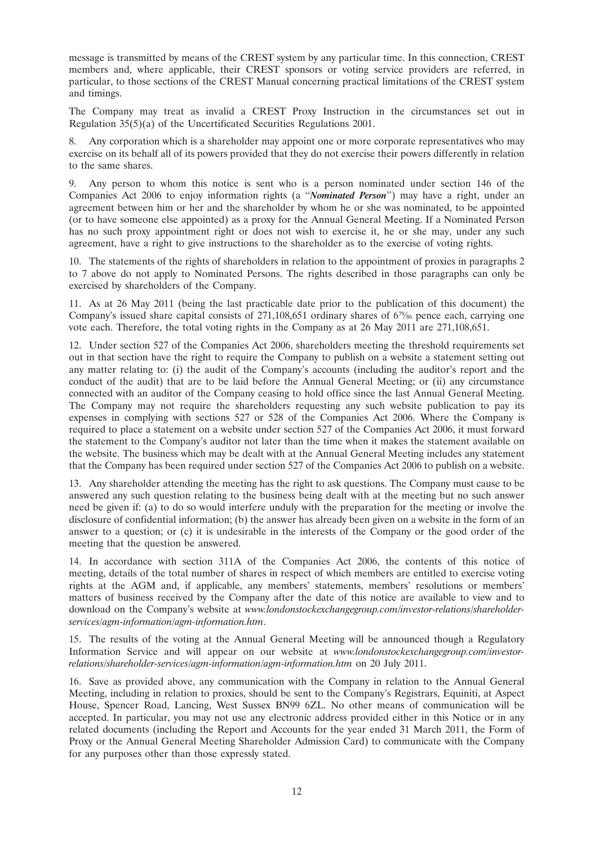message is transmitted by means of the CREST system by any particular time. In this connection, CREST members and, where applicable, their CREST sponsors or voting service providers are referred, in particular, to those sections of the CREST Manual concerning practical limitations of the CREST system and timings.

The Company may treat as invalid a CREST Proxy Instruction in the circumstances set out in Regulation 35(5)(a) of the Uncertificated Securities Regulations 2001.

8. Any corporation which is a shareholder may appoint one or more corporate representatives who may exercise on its behalf all of its powers provided that they do not exercise their powers differently in relation to the same shares.

9. Any person to whom this notice is sent who is a person nominated under section 146 of the Companies Act 2006 to enjoy information rights (a ''*Nominated Person*'') may have a right, under an agreement between him or her and the shareholder by whom he or she was nominated, to be appointed (or to have someone else appointed) as a proxy for the Annual General Meeting. If a Nominated Person has no such proxy appointment right or does not wish to exercise it, he or she may, under any such agreement, have a right to give instructions to the shareholder as to the exercise of voting rights.

10. The statements of the rights of shareholders in relation to the appointment of proxies in paragraphs 2 to 7 above do not apply to Nominated Persons. The rights described in those paragraphs can only be exercised by shareholders of the Company.

11. As at 26 May 2011 (being the last practicable date prior to the publication of this document) the Company's issued share capital consists of 271,108,651 ordinary shares of  $6\frac{7}{86}$  pence each, carrying one vote each. Therefore, the total voting rights in the Company as at 26 May 2011 are 271,108,651.

12. Under section 527 of the Companies Act 2006, shareholders meeting the threshold requirements set out in that section have the right to require the Company to publish on a website a statement setting out any matter relating to: (i) the audit of the Company's accounts (including the auditor's report and the conduct of the audit) that are to be laid before the Annual General Meeting; or (ii) any circumstance connected with an auditor of the Company ceasing to hold office since the last Annual General Meeting. The Company may not require the shareholders requesting any such website publication to pay its expenses in complying with sections 527 or 528 of the Companies Act 2006. Where the Company is required to place a statement on a website under section 527 of the Companies Act 2006, it must forward the statement to the Company's auditor not later than the time when it makes the statement available on the website. The business which may be dealt with at the Annual General Meeting includes any statement that the Company has been required under section 527 of the Companies Act 2006 to publish on a website.

13. Any shareholder attending the meeting has the right to ask questions. The Company must cause to be answered any such question relating to the business being dealt with at the meeting but no such answer need be given if: (a) to do so would interfere unduly with the preparation for the meeting or involve the disclosure of confidential information; (b) the answer has already been given on a website in the form of an answer to a question; or (c) it is undesirable in the interests of the Company or the good order of the meeting that the question be answered.

14. In accordance with section 311A of the Companies Act 2006, the contents of this notice of meeting, details of the total number of shares in respect of which members are entitled to exercise voting rights at the AGM and, if applicable, any members' statements, members' resolutions or members' matters of business received by the Company after the date of this notice are available to view and to download on the Company's website at *www.londonstockexchangegroup.com/investor-relations/shareholderservices/agm-information/agm-information.htm*.

15. The results of the voting at the Annual General Meeting will be announced though a Regulatory Information Service and will appear on our website at *www.londonstockexchangegroup.com/investorrelations/shareholder-services/agm-information/agm-information.htm* on 20 July 2011.

16. Save as provided above, any communication with the Company in relation to the Annual General Meeting, including in relation to proxies, should be sent to the Company's Registrars, Equiniti, at Aspect House, Spencer Road, Lancing, West Sussex BN99 6ZL. No other means of communication will be accepted. In particular, you may not use any electronic address provided either in this Notice or in any related documents (including the Report and Accounts for the year ended 31 March 2011, the Form of Proxy or the Annual General Meeting Shareholder Admission Card) to communicate with the Company for any purposes other than those expressly stated.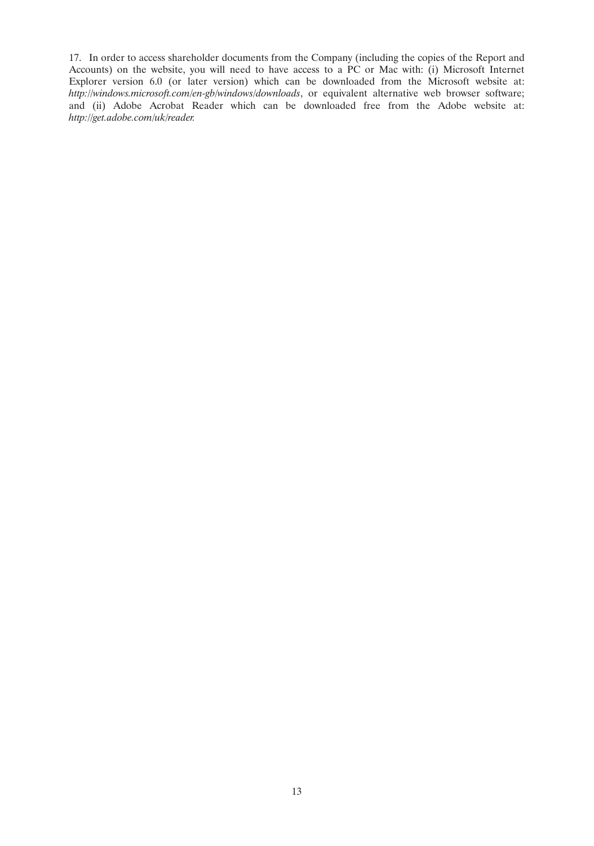17. In order to access shareholder documents from the Company (including the copies of the Report and Accounts) on the website, you will need to have access to a PC or Mac with: (i) Microsoft Internet Explorer version 6.0 (or later version) which can be downloaded from the Microsoft website at: *http://windows.microsoft.com/en-gb/windows/downloads*, or equivalent alternative web browser software; and (ii) Adobe Acrobat Reader which can be downloaded free from the Adobe website at: *http://get.adobe.com/uk/reader.*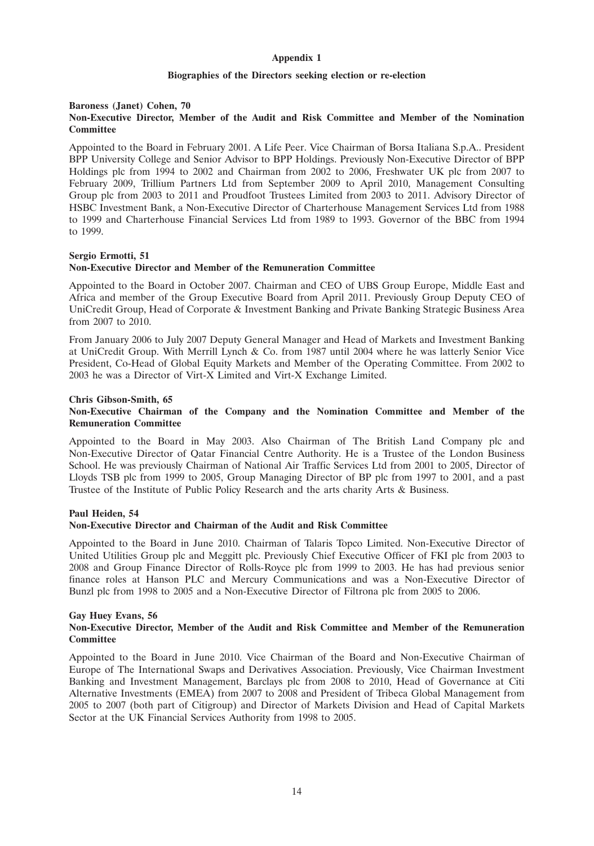#### **Appendix 1**

#### **Biographies of the Directors seeking election or re-election**

#### **Baroness (Janet) Cohen, 70 Non-Executive Director, Member of the Audit and Risk Committee and Member of the Nomination Committee**

Appointed to the Board in February 2001. A Life Peer. Vice Chairman of Borsa Italiana S.p.A.. President BPP University College and Senior Advisor to BPP Holdings. Previously Non-Executive Director of BPP Holdings plc from 1994 to 2002 and Chairman from 2002 to 2006, Freshwater UK plc from 2007 to February 2009, Trillium Partners Ltd from September 2009 to April 2010, Management Consulting Group plc from 2003 to 2011 and Proudfoot Trustees Limited from 2003 to 2011. Advisory Director of HSBC Investment Bank, a Non-Executive Director of Charterhouse Management Services Ltd from 1988 to 1999 and Charterhouse Financial Services Ltd from 1989 to 1993. Governor of the BBC from 1994 to 1999.

### **Sergio Ermotti, 51**

### **Non-Executive Director and Member of the Remuneration Committee**

Appointed to the Board in October 2007. Chairman and CEO of UBS Group Europe, Middle East and Africa and member of the Group Executive Board from April 2011. Previously Group Deputy CEO of UniCredit Group, Head of Corporate & Investment Banking and Private Banking Strategic Business Area from 2007 to 2010.

From January 2006 to July 2007 Deputy General Manager and Head of Markets and Investment Banking at UniCredit Group. With Merrill Lynch & Co. from 1987 until 2004 where he was latterly Senior Vice President, Co-Head of Global Equity Markets and Member of the Operating Committee. From 2002 to 2003 he was a Director of Virt-X Limited and Virt-X Exchange Limited.

#### **Chris Gibson-Smith, 65**

# **Non-Executive Chairman of the Company and the Nomination Committee and Member of the Remuneration Committee**

Appointed to the Board in May 2003. Also Chairman of The British Land Company plc and Non-Executive Director of Qatar Financial Centre Authority. He is a Trustee of the London Business School. He was previously Chairman of National Air Traffic Services Ltd from 2001 to 2005, Director of Lloyds TSB plc from 1999 to 2005, Group Managing Director of BP plc from 1997 to 2001, and a past Trustee of the Institute of Public Policy Research and the arts charity Arts & Business.

### **Paul Heiden, 54**

### **Non-Executive Director and Chairman of the Audit and Risk Committee**

Appointed to the Board in June 2010. Chairman of Talaris Topco Limited. Non-Executive Director of United Utilities Group plc and Meggitt plc. Previously Chief Executive Officer of FKI plc from 2003 to 2008 and Group Finance Director of Rolls-Royce plc from 1999 to 2003. He has had previous senior finance roles at Hanson PLC and Mercury Communications and was a Non-Executive Director of Bunzl plc from 1998 to 2005 and a Non-Executive Director of Filtrona plc from 2005 to 2006.

### **Gay Huey Evans, 56**

#### **Non-Executive Director, Member of the Audit and Risk Committee and Member of the Remuneration Committee**

Appointed to the Board in June 2010. Vice Chairman of the Board and Non-Executive Chairman of Europe of The International Swaps and Derivatives Association. Previously, Vice Chairman Investment Banking and Investment Management, Barclays plc from 2008 to 2010, Head of Governance at Citi Alternative Investments (EMEA) from 2007 to 2008 and President of Tribeca Global Management from 2005 to 2007 (both part of Citigroup) and Director of Markets Division and Head of Capital Markets Sector at the UK Financial Services Authority from 1998 to 2005.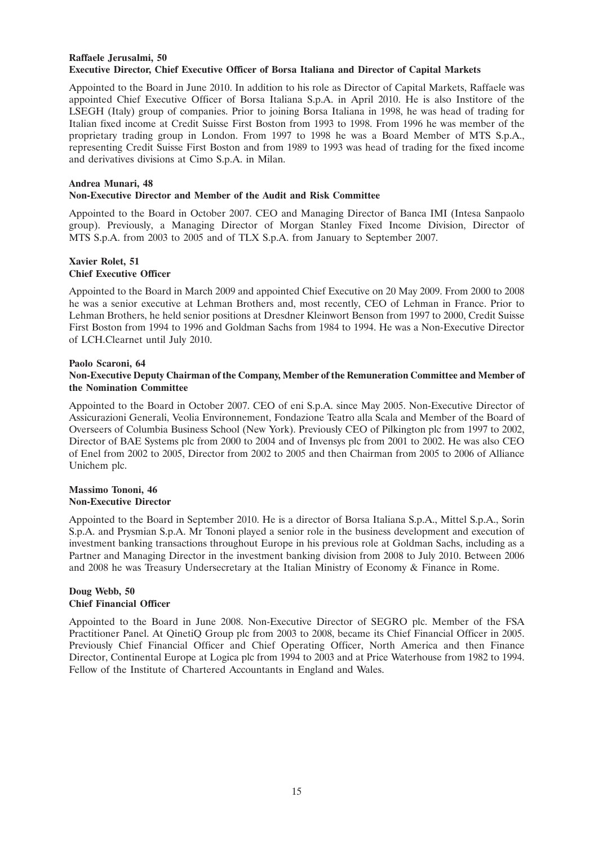# **Raffaele Jerusalmi, 50 Executive Director, Chief Executive Officer of Borsa Italiana and Director of Capital Markets**

Appointed to the Board in June 2010. In addition to his role as Director of Capital Markets, Raffaele was appointed Chief Executive Officer of Borsa Italiana S.p.A. in April 2010. He is also Institore of the LSEGH (Italy) group of companies. Prior to joining Borsa Italiana in 1998, he was head of trading for Italian fixed income at Credit Suisse First Boston from 1993 to 1998. From 1996 he was member of the proprietary trading group in London. From 1997 to 1998 he was a Board Member of MTS S.p.A., representing Credit Suisse First Boston and from 1989 to 1993 was head of trading for the fixed income and derivatives divisions at Cimo S.p.A. in Milan.

# **Andrea Munari, 48**

### **Non-Executive Director and Member of the Audit and Risk Committee**

Appointed to the Board in October 2007. CEO and Managing Director of Banca IMI (Intesa Sanpaolo group). Previously, a Managing Director of Morgan Stanley Fixed Income Division, Director of MTS S.p.A. from 2003 to 2005 and of TLX S.p.A. from January to September 2007.

# **Xavier Rolet, 51 Chief Executive Officer**

Appointed to the Board in March 2009 and appointed Chief Executive on 20 May 2009. From 2000 to 2008 he was a senior executive at Lehman Brothers and, most recently, CEO of Lehman in France. Prior to Lehman Brothers, he held senior positions at Dresdner Kleinwort Benson from 1997 to 2000, Credit Suisse First Boston from 1994 to 1996 and Goldman Sachs from 1984 to 1994. He was a Non-Executive Director of LCH.Clearnet until July 2010.

# **Paolo Scaroni, 64**

# **Non-Executive Deputy Chairman of the Company, Member of the Remuneration Committee and Member of the Nomination Committee**

Appointed to the Board in October 2007. CEO of eni S.p.A. since May 2005. Non-Executive Director of Assicurazioni Generali, Veolia Environnement, Fondazione Teatro alla Scala and Member of the Board of Overseers of Columbia Business School (New York). Previously CEO of Pilkington plc from 1997 to 2002, Director of BAE Systems plc from 2000 to 2004 and of Invensys plc from 2001 to 2002. He was also CEO of Enel from 2002 to 2005, Director from 2002 to 2005 and then Chairman from 2005 to 2006 of Alliance Unichem plc.

### **Massimo Tononi, 46 Non-Executive Director**

Appointed to the Board in September 2010. He is a director of Borsa Italiana S.p.A., Mittel S.p.A., Sorin S.p.A. and Prysmian S.p.A. Mr Tononi played a senior role in the business development and execution of investment banking transactions throughout Europe in his previous role at Goldman Sachs, including as a Partner and Managing Director in the investment banking division from 2008 to July 2010. Between 2006 and 2008 he was Treasury Undersecretary at the Italian Ministry of Economy & Finance in Rome.

# **Doug Webb, 50 Chief Financial Officer**

Appointed to the Board in June 2008. Non-Executive Director of SEGRO plc. Member of the FSA Practitioner Panel. At QinetiQ Group plc from 2003 to 2008, became its Chief Financial Officer in 2005. Previously Chief Financial Officer and Chief Operating Officer, North America and then Finance Director, Continental Europe at Logica plc from 1994 to 2003 and at Price Waterhouse from 1982 to 1994. Fellow of the Institute of Chartered Accountants in England and Wales.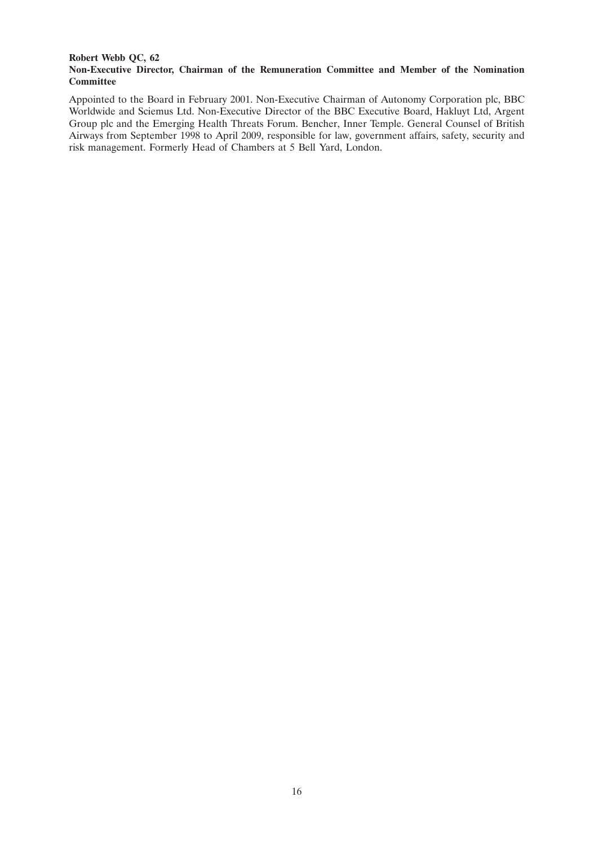### **Robert Webb QC, 62 Non-Executive Director, Chairman of the Remuneration Committee and Member of the Nomination Committee**

Appointed to the Board in February 2001. Non-Executive Chairman of Autonomy Corporation plc, BBC Worldwide and Sciemus Ltd. Non-Executive Director of the BBC Executive Board, Hakluyt Ltd, Argent Group plc and the Emerging Health Threats Forum. Bencher, Inner Temple. General Counsel of British Airways from September 1998 to April 2009, responsible for law, government affairs, safety, security and risk management. Formerly Head of Chambers at 5 Bell Yard, London.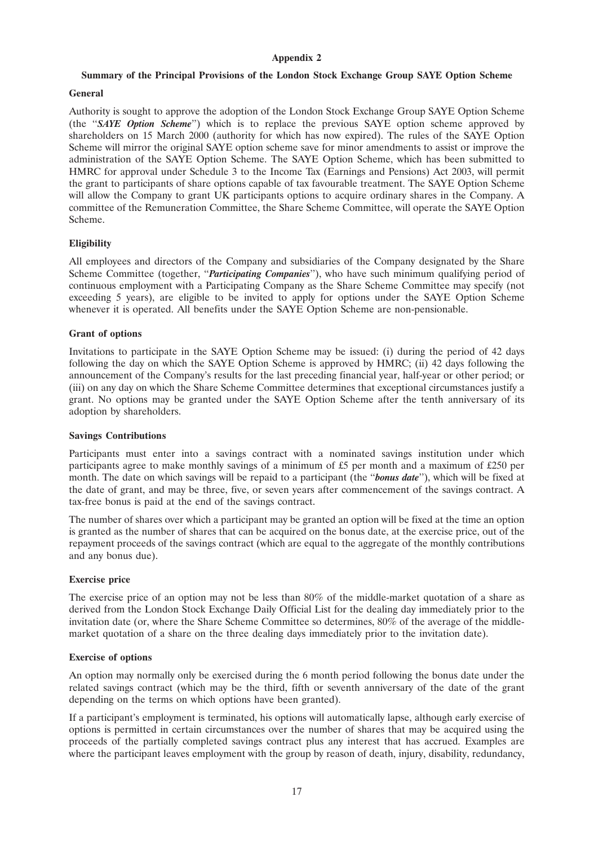### **Appendix 2**

### **Summary of the Principal Provisions of the London Stock Exchange Group SAYE Option Scheme**

#### **General**

Authority is sought to approve the adoption of the London Stock Exchange Group SAYE Option Scheme (the ''*SAYE Option Scheme*'') which is to replace the previous SAYE option scheme approved by shareholders on 15 March 2000 (authority for which has now expired). The rules of the SAYE Option Scheme will mirror the original SAYE option scheme save for minor amendments to assist or improve the administration of the SAYE Option Scheme. The SAYE Option Scheme, which has been submitted to HMRC for approval under Schedule 3 to the Income Tax (Earnings and Pensions) Act 2003, will permit the grant to participants of share options capable of tax favourable treatment. The SAYE Option Scheme will allow the Company to grant UK participants options to acquire ordinary shares in the Company. A committee of the Remuneration Committee, the Share Scheme Committee, will operate the SAYE Option Scheme.

#### **Eligibility**

All employees and directors of the Company and subsidiaries of the Company designated by the Share Scheme Committee (together, ''*Participating Companies*''), who have such minimum qualifying period of continuous employment with a Participating Company as the Share Scheme Committee may specify (not exceeding 5 years), are eligible to be invited to apply for options under the SAYE Option Scheme whenever it is operated. All benefits under the SAYE Option Scheme are non-pensionable.

#### **Grant of options**

Invitations to participate in the SAYE Option Scheme may be issued: (i) during the period of 42 days following the day on which the SAYE Option Scheme is approved by HMRC; (ii) 42 days following the announcement of the Company's results for the last preceding financial year, half-year or other period; or (iii) on any day on which the Share Scheme Committee determines that exceptional circumstances justify a grant. No options may be granted under the SAYE Option Scheme after the tenth anniversary of its adoption by shareholders.

#### **Savings Contributions**

Participants must enter into a savings contract with a nominated savings institution under which participants agree to make monthly savings of a minimum of £5 per month and a maximum of £250 per month. The date on which savings will be repaid to a participant (the ''*bonus date*''), which will be fixed at the date of grant, and may be three, five, or seven years after commencement of the savings contract. A tax-free bonus is paid at the end of the savings contract.

The number of shares over which a participant may be granted an option will be fixed at the time an option is granted as the number of shares that can be acquired on the bonus date, at the exercise price, out of the repayment proceeds of the savings contract (which are equal to the aggregate of the monthly contributions and any bonus due).

#### **Exercise price**

The exercise price of an option may not be less than  $80\%$  of the middle-market quotation of a share as derived from the London Stock Exchange Daily Official List for the dealing day immediately prior to the invitation date (or, where the Share Scheme Committee so determines, 80% of the average of the middlemarket quotation of a share on the three dealing days immediately prior to the invitation date).

### **Exercise of options**

An option may normally only be exercised during the 6 month period following the bonus date under the related savings contract (which may be the third, fifth or seventh anniversary of the date of the grant depending on the terms on which options have been granted).

If a participant's employment is terminated, his options will automatically lapse, although early exercise of options is permitted in certain circumstances over the number of shares that may be acquired using the proceeds of the partially completed savings contract plus any interest that has accrued. Examples are where the participant leaves employment with the group by reason of death, injury, disability, redundancy,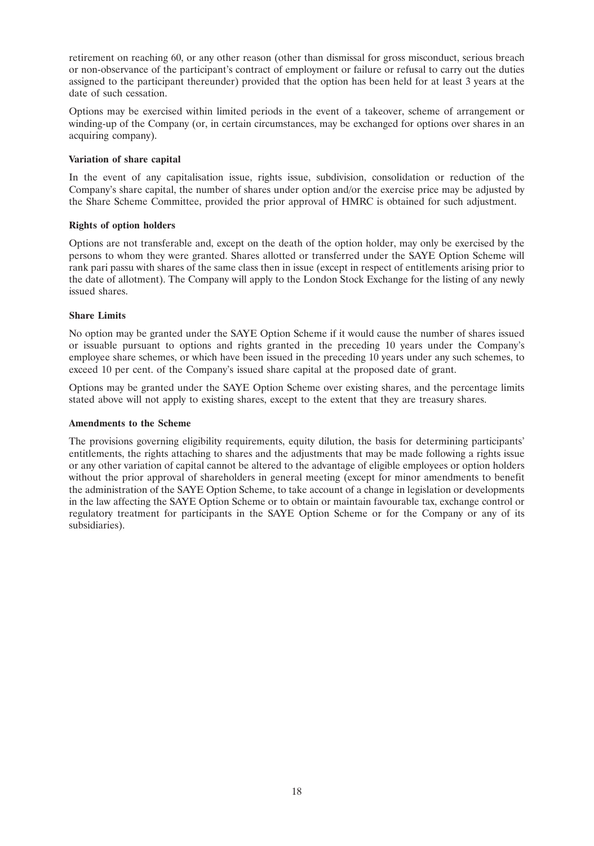retirement on reaching 60, or any other reason (other than dismissal for gross misconduct, serious breach or non-observance of the participant's contract of employment or failure or refusal to carry out the duties assigned to the participant thereunder) provided that the option has been held for at least 3 years at the date of such cessation.

Options may be exercised within limited periods in the event of a takeover, scheme of arrangement or winding-up of the Company (or, in certain circumstances, may be exchanged for options over shares in an acquiring company).

# **Variation of share capital**

In the event of any capitalisation issue, rights issue, subdivision, consolidation or reduction of the Company's share capital, the number of shares under option and/or the exercise price may be adjusted by the Share Scheme Committee, provided the prior approval of HMRC is obtained for such adjustment.

# **Rights of option holders**

Options are not transferable and, except on the death of the option holder, may only be exercised by the persons to whom they were granted. Shares allotted or transferred under the SAYE Option Scheme will rank pari passu with shares of the same class then in issue (except in respect of entitlements arising prior to the date of allotment). The Company will apply to the London Stock Exchange for the listing of any newly issued shares.

# **Share Limits**

No option may be granted under the SAYE Option Scheme if it would cause the number of shares issued or issuable pursuant to options and rights granted in the preceding 10 years under the Company's employee share schemes, or which have been issued in the preceding 10 years under any such schemes, to exceed 10 per cent. of the Company's issued share capital at the proposed date of grant.

Options may be granted under the SAYE Option Scheme over existing shares, and the percentage limits stated above will not apply to existing shares, except to the extent that they are treasury shares.

### **Amendments to the Scheme**

The provisions governing eligibility requirements, equity dilution, the basis for determining participants' entitlements, the rights attaching to shares and the adjustments that may be made following a rights issue or any other variation of capital cannot be altered to the advantage of eligible employees or option holders without the prior approval of shareholders in general meeting (except for minor amendments to benefit the administration of the SAYE Option Scheme, to take account of a change in legislation or developments in the law affecting the SAYE Option Scheme or to obtain or maintain favourable tax, exchange control or regulatory treatment for participants in the SAYE Option Scheme or for the Company or any of its subsidiaries).